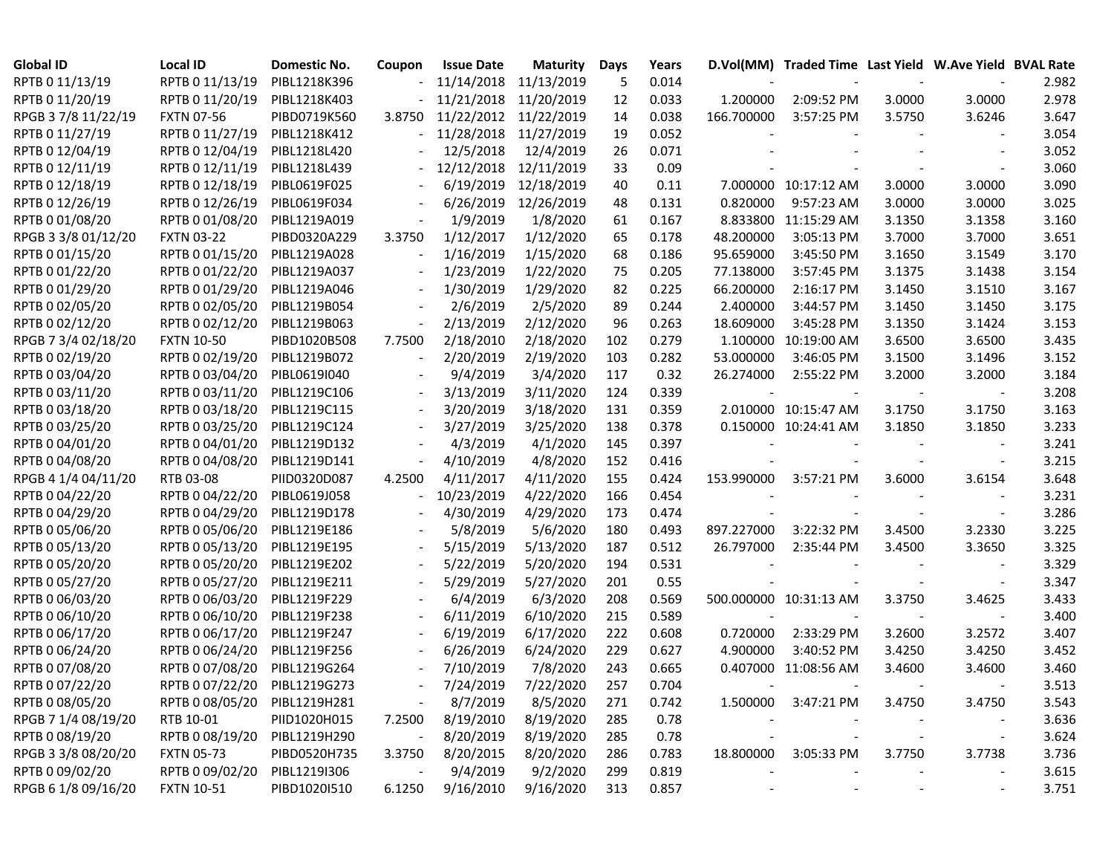| <b>Global ID</b>    | <b>Local ID</b>              | Domestic No. | Coupon                   | <b>Issue Date</b> | <b>Maturity</b> | Days | Years |            | D.Vol(MM) Traded Time Last Yield W.Ave Yield BVAL Rate |        |                          |       |
|---------------------|------------------------------|--------------|--------------------------|-------------------|-----------------|------|-------|------------|--------------------------------------------------------|--------|--------------------------|-------|
| RPTB 0 11/13/19     | RPTB 0 11/13/19              | PIBL1218K396 |                          | 11/14/2018        | 11/13/2019      | 5    | 0.014 |            |                                                        |        |                          | 2.982 |
| RPTB 0 11/20/19     | RPTB 0 11/20/19              | PIBL1218K403 |                          | 11/21/2018        | 11/20/2019      | 12   | 0.033 | 1.200000   | 2:09:52 PM                                             | 3.0000 | 3.0000                   | 2.978 |
| RPGB 37/8 11/22/19  | <b>FXTN 07-56</b>            | PIBD0719K560 | 3.8750                   | 11/22/2012        | 11/22/2019      | 14   | 0.038 | 166.700000 | 3:57:25 PM                                             | 3.5750 | 3.6246                   | 3.647 |
| RPTB 0 11/27/19     | RPTB 0 11/27/19              | PIBL1218K412 |                          | 11/28/2018        | 11/27/2019      | 19   | 0.052 |            |                                                        |        |                          | 3.054 |
| RPTB 0 12/04/19     | RPTB 0 12/04/19              | PIBL1218L420 |                          | 12/5/2018         | 12/4/2019       | 26   | 0.071 |            |                                                        |        |                          | 3.052 |
| RPTB 0 12/11/19     | RPTB 0 12/11/19              | PIBL1218L439 |                          | 12/12/2018        | 12/11/2019      | 33   | 0.09  |            |                                                        |        |                          | 3.060 |
| RPTB 0 12/18/19     | RPTB 0 12/18/19              | PIBL0619F025 |                          | 6/19/2019         | 12/18/2019      | 40   | 0.11  |            | 7.000000 10:17:12 AM                                   | 3.0000 | 3.0000                   | 3.090 |
| RPTB 0 12/26/19     | RPTB 0 12/26/19              | PIBL0619F034 |                          | 6/26/2019         | 12/26/2019      | 48   | 0.131 | 0.820000   | 9:57:23 AM                                             | 3.0000 | 3.0000                   | 3.025 |
| RPTB 0 01/08/20     | RPTB 0 01/08/20              | PIBL1219A019 | $\overline{\phantom{a}}$ | 1/9/2019          | 1/8/2020        | 61   | 0.167 |            | 8.833800 11:15:29 AM                                   | 3.1350 | 3.1358                   | 3.160 |
| RPGB 3 3/8 01/12/20 | <b>FXTN 03-22</b>            | PIBD0320A229 | 3.3750                   | 1/12/2017         | 1/12/2020       | 65   | 0.178 | 48.200000  | 3:05:13 PM                                             | 3.7000 | 3.7000                   | 3.651 |
| RPTB 0 01/15/20     | RPTB 0 01/15/20              | PIBL1219A028 |                          | 1/16/2019         | 1/15/2020       | 68   | 0.186 | 95.659000  | 3:45:50 PM                                             | 3.1650 | 3.1549                   | 3.170 |
| RPTB 0 01/22/20     | RPTB 0 01/22/20              | PIBL1219A037 | $\overline{\phantom{a}}$ | 1/23/2019         | 1/22/2020       | 75   | 0.205 | 77.138000  | 3:57:45 PM                                             | 3.1375 | 3.1438                   | 3.154 |
| RPTB 0 01/29/20     | RPTB 0 01/29/20              | PIBL1219A046 | $\overline{\phantom{a}}$ | 1/30/2019         | 1/29/2020       | 82   | 0.225 | 66.200000  | 2:16:17 PM                                             | 3.1450 | 3.1510                   | 3.167 |
| RPTB 0 02/05/20     | RPTB 0 02/05/20              | PIBL1219B054 |                          | 2/6/2019          | 2/5/2020        | 89   | 0.244 | 2.400000   | 3:44:57 PM                                             | 3.1450 | 3.1450                   | 3.175 |
| RPTB 0 02/12/20     | RPTB 0 02/12/20              | PIBL1219B063 |                          | 2/13/2019         | 2/12/2020       | 96   | 0.263 | 18.609000  | 3:45:28 PM                                             | 3.1350 | 3.1424                   | 3.153 |
| RPGB 7 3/4 02/18/20 | <b>FXTN 10-50</b>            | PIBD1020B508 | 7.7500                   | 2/18/2010         | 2/18/2020       | 102  | 0.279 |            | 1.100000 10:19:00 AM                                   | 3.6500 | 3.6500                   | 3.435 |
| RPTB 0 02/19/20     | RPTB 0 02/19/20              | PIBL1219B072 |                          | 2/20/2019         | 2/19/2020       | 103  | 0.282 | 53.000000  | 3:46:05 PM                                             | 3.1500 | 3.1496                   | 3.152 |
| RPTB 0 03/04/20     | RPTB 0 03/04/20              | PIBL0619I040 |                          | 9/4/2019          | 3/4/2020        | 117  | 0.32  | 26.274000  | 2:55:22 PM                                             | 3.2000 | 3.2000                   | 3.184 |
| RPTB 0 03/11/20     | RPTB 0 03/11/20              | PIBL1219C106 | $\overline{\phantom{a}}$ | 3/13/2019         | 3/11/2020       | 124  | 0.339 |            |                                                        |        |                          | 3.208 |
| RPTB 0 03/18/20     | RPTB 0 03/18/20              | PIBL1219C115 |                          | 3/20/2019         | 3/18/2020       | 131  | 0.359 |            | 2.010000 10:15:47 AM                                   | 3.1750 | 3.1750                   | 3.163 |
| RPTB 0 03/25/20     | RPTB 0 03/25/20              | PIBL1219C124 | $\overline{\phantom{a}}$ | 3/27/2019         | 3/25/2020       | 138  | 0.378 |            | 0.150000 10:24:41 AM                                   | 3.1850 | 3.1850                   | 3.233 |
| RPTB 0 04/01/20     | RPTB 0 04/01/20              | PIBL1219D132 | $\overline{\phantom{a}}$ | 4/3/2019          | 4/1/2020        | 145  | 0.397 |            |                                                        |        |                          | 3.241 |
| RPTB 0 04/08/20     | RPTB 0 04/08/20              | PIBL1219D141 |                          | 4/10/2019         | 4/8/2020        | 152  | 0.416 |            |                                                        |        |                          | 3.215 |
| RPGB 4 1/4 04/11/20 | RTB 03-08                    | PIID0320D087 | 4.2500                   | 4/11/2017         | 4/11/2020       | 155  | 0.424 | 153.990000 | 3:57:21 PM                                             | 3.6000 | 3.6154                   | 3.648 |
| RPTB 0 04/22/20     | RPTB 0 04/22/20              | PIBL0619J058 |                          | 10/23/2019        | 4/22/2020       | 166  | 0.454 |            |                                                        |        |                          | 3.231 |
| RPTB 0 04/29/20     | RPTB 0 04/29/20              | PIBL1219D178 |                          | 4/30/2019         | 4/29/2020       | 173  | 0.474 |            |                                                        |        |                          | 3.286 |
| RPTB 0 05/06/20     | RPTB 0 05/06/20              | PIBL1219E186 |                          | 5/8/2019          | 5/6/2020        | 180  | 0.493 | 897.227000 | 3:22:32 PM                                             | 3.4500 | 3.2330                   | 3.225 |
| RPTB 0 05/13/20     | RPTB 0 05/13/20              | PIBL1219E195 |                          | 5/15/2019         | 5/13/2020       | 187  | 0.512 | 26.797000  | 2:35:44 PM                                             | 3.4500 | 3.3650                   | 3.325 |
| RPTB 0 05/20/20     | RPTB 0 05/20/20              | PIBL1219E202 |                          | 5/22/2019         | 5/20/2020       | 194  | 0.531 |            |                                                        |        |                          | 3.329 |
| RPTB 0 05/27/20     | RPTB 0 05/27/20              | PIBL1219E211 |                          | 5/29/2019         | 5/27/2020       | 201  | 0.55  |            |                                                        |        |                          | 3.347 |
| RPTB 0 06/03/20     | RPTB 0 06/03/20              | PIBL1219F229 |                          | 6/4/2019          | 6/3/2020        | 208  | 0.569 |            | 500.000000 10:31:13 AM                                 | 3.3750 | 3.4625                   | 3.433 |
| RPTB 0 06/10/20     | RPTB 0 06/10/20              | PIBL1219F238 |                          | 6/11/2019         | 6/10/2020       | 215  | 0.589 |            |                                                        |        |                          | 3.400 |
| RPTB 0 06/17/20     | RPTB 0 06/17/20              | PIBL1219F247 |                          | 6/19/2019         | 6/17/2020       | 222  | 0.608 | 0.720000   | 2:33:29 PM                                             | 3.2600 | 3.2572                   | 3.407 |
| RPTB 0 06/24/20     | RPTB 0 06/24/20              | PIBL1219F256 |                          | 6/26/2019         | 6/24/2020       | 229  | 0.627 | 4.900000   | 3:40:52 PM                                             | 3.4250 | 3.4250                   | 3.452 |
| RPTB 0 07/08/20     | RPTB 0 07/08/20              | PIBL1219G264 |                          | 7/10/2019         | 7/8/2020        | 243  | 0.665 |            | 0.407000 11:08:56 AM                                   | 3.4600 | 3.4600                   | 3.460 |
| RPTB 0 07/22/20     | RPTB 0 07/22/20 PIBL1219G273 |              |                          | 7/24/2019         | 7/22/2020       | 257  | 0.704 |            |                                                        |        |                          | 3.513 |
| RPTB 0 08/05/20     | RPTB 0 08/05/20 PIBL1219H281 |              |                          | 8/7/2019          | 8/5/2020        | 271  | 0.742 | 1.500000   | 3:47:21 PM                                             | 3.4750 | 3.4750                   | 3.543 |
| RPGB 7 1/4 08/19/20 | RTB 10-01                    | PIID1020H015 | 7.2500                   | 8/19/2010         | 8/19/2020       | 285  | 0.78  |            |                                                        |        |                          | 3.636 |
| RPTB 0 08/19/20     | RPTB 0 08/19/20              | PIBL1219H290 |                          | 8/20/2019         | 8/19/2020       | 285  | 0.78  |            |                                                        |        | $\overline{\phantom{a}}$ | 3.624 |
| RPGB 3 3/8 08/20/20 | <b>FXTN 05-73</b>            | PIBD0520H735 | 3.3750                   | 8/20/2015         | 8/20/2020       | 286  | 0.783 | 18.800000  | 3:05:33 PM                                             | 3.7750 | 3.7738                   | 3.736 |
| RPTB 0 09/02/20     | RPTB 0 09/02/20              | PIBL1219I306 |                          | 9/4/2019          | 9/2/2020        | 299  | 0.819 |            |                                                        |        |                          | 3.615 |
| RPGB 6 1/8 09/16/20 | FXTN 10-51                   | PIBD1020I510 | 6.1250                   | 9/16/2010         | 9/16/2020       | 313  | 0.857 |            |                                                        |        |                          | 3.751 |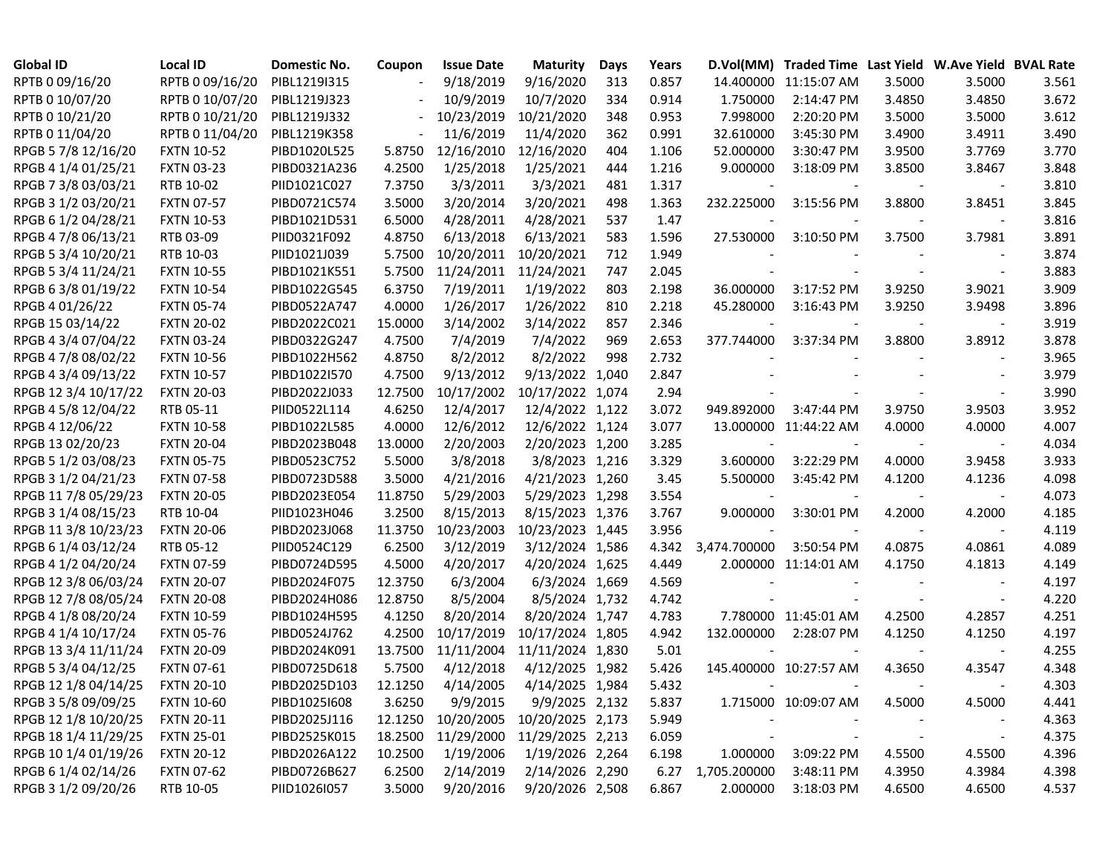| <b>Global ID</b>     | <b>Local ID</b>   | Domestic No. | Coupon  | <b>Issue Date</b> | <b>Maturity</b>  | Days  | Years |                          | D.Vol(MM) Traded Time Last Yield W.Ave Yield BVAL Rate |                          |        |       |
|----------------------|-------------------|--------------|---------|-------------------|------------------|-------|-------|--------------------------|--------------------------------------------------------|--------------------------|--------|-------|
| RPTB 0 09/16/20      | RPTB 0 09/16/20   | PIBL1219I315 |         | 9/18/2019         | 9/16/2020        | 313   | 0.857 |                          | 14.400000 11:15:07 AM                                  | 3.5000                   | 3.5000 | 3.561 |
| RPTB 0 10/07/20      | RPTB 0 10/07/20   | PIBL1219J323 |         | 10/9/2019         | 10/7/2020        | 334   | 0.914 | 1.750000                 | 2:14:47 PM                                             | 3.4850                   | 3.4850 | 3.672 |
| RPTB 0 10/21/20      | RPTB 0 10/21/20   | PIBL1219J332 |         | 10/23/2019        | 10/21/2020       | 348   | 0.953 | 7.998000                 | 2:20:20 PM                                             | 3.5000                   | 3.5000 | 3.612 |
| RPTB 0 11/04/20      | RPTB 0 11/04/20   | PIBL1219K358 |         | 11/6/2019         | 11/4/2020        | 362   | 0.991 | 32.610000                | 3:45:30 PM                                             | 3.4900                   | 3.4911 | 3.490 |
| RPGB 5 7/8 12/16/20  | <b>FXTN 10-52</b> | PIBD1020L525 | 5.8750  | 12/16/2010        | 12/16/2020       | 404   | 1.106 | 52.000000                | 3:30:47 PM                                             | 3.9500                   | 3.7769 | 3.770 |
| RPGB 4 1/4 01/25/21  | <b>FXTN 03-23</b> | PIBD0321A236 | 4.2500  | 1/25/2018         | 1/25/2021        | 444   | 1.216 | 9.000000                 | 3:18:09 PM                                             | 3.8500                   | 3.8467 | 3.848 |
| RPGB 7 3/8 03/03/21  | RTB 10-02         | PIID1021C027 | 7.3750  | 3/3/2011          | 3/3/2021         | 481   | 1.317 |                          |                                                        |                          |        | 3.810 |
| RPGB 3 1/2 03/20/21  | <b>FXTN 07-57</b> | PIBD0721C574 | 3.5000  | 3/20/2014         | 3/20/2021        | 498   | 1.363 | 232.225000               | 3:15:56 PM                                             | 3.8800                   | 3.8451 | 3.845 |
| RPGB 6 1/2 04/28/21  | <b>FXTN 10-53</b> | PIBD1021D531 | 6.5000  | 4/28/2011         | 4/28/2021        | 537   | 1.47  |                          |                                                        |                          |        | 3.816 |
| RPGB 4 7/8 06/13/21  | RTB 03-09         | PIID0321F092 | 4.8750  | 6/13/2018         | 6/13/2021        | 583   | 1.596 | 27.530000                | 3:10:50 PM                                             | 3.7500                   | 3.7981 | 3.891 |
| RPGB 5 3/4 10/20/21  | RTB 10-03         | PIID1021J039 | 5.7500  | 10/20/2011        | 10/20/2021       | 712   | 1.949 |                          |                                                        |                          |        | 3.874 |
| RPGB 5 3/4 11/24/21  | <b>FXTN 10-55</b> | PIBD1021K551 | 5.7500  | 11/24/2011        | 11/24/2021       | 747   | 2.045 |                          |                                                        |                          |        | 3.883 |
| RPGB 6 3/8 01/19/22  | <b>FXTN 10-54</b> | PIBD1022G545 | 6.3750  | 7/19/2011         | 1/19/2022        | 803   | 2.198 | 36.000000                | 3:17:52 PM                                             | 3.9250                   | 3.9021 | 3.909 |
| RPGB 4 01/26/22      | <b>FXTN 05-74</b> | PIBD0522A747 | 4.0000  | 1/26/2017         | 1/26/2022        | 810   | 2.218 | 45.280000                | 3:16:43 PM                                             | 3.9250                   | 3.9498 | 3.896 |
| RPGB 15 03/14/22     | <b>FXTN 20-02</b> | PIBD2022C021 | 15.0000 | 3/14/2002         | 3/14/2022        | 857   | 2.346 |                          |                                                        |                          |        | 3.919 |
| RPGB 4 3/4 07/04/22  | <b>FXTN 03-24</b> | PIBD0322G247 | 4.7500  | 7/4/2019          | 7/4/2022         | 969   | 2.653 | 377.744000               | 3:37:34 PM                                             | 3.8800                   | 3.8912 | 3.878 |
| RPGB 4 7/8 08/02/22  | <b>FXTN 10-56</b> | PIBD1022H562 | 4.8750  | 8/2/2012          | 8/2/2022         | 998   | 2.732 |                          |                                                        |                          |        | 3.965 |
| RPGB 4 3/4 09/13/22  | <b>FXTN 10-57</b> | PIBD1022I570 | 4.7500  | 9/13/2012         | 9/13/2022        | 1,040 | 2.847 |                          |                                                        |                          |        | 3.979 |
| RPGB 12 3/4 10/17/22 | <b>FXTN 20-03</b> | PIBD2022J033 | 12.7500 | 10/17/2002        | 10/17/2022 1,074 |       | 2.94  |                          |                                                        |                          |        | 3.990 |
| RPGB 4 5/8 12/04/22  | RTB 05-11         | PIID0522L114 | 4.6250  | 12/4/2017         | 12/4/2022 1,122  |       | 3.072 | 949.892000               | 3:47:44 PM                                             | 3.9750                   | 3.9503 | 3.952 |
| RPGB 4 12/06/22      | <b>FXTN 10-58</b> | PIBD1022L585 | 4.0000  | 12/6/2012         | 12/6/2022 1,124  |       | 3.077 |                          | 13.000000 11:44:22 AM                                  | 4.0000                   | 4.0000 | 4.007 |
| RPGB 13 02/20/23     | <b>FXTN 20-04</b> | PIBD2023B048 | 13.0000 | 2/20/2003         | 2/20/2023 1,200  |       | 3.285 | $\overline{\phantom{a}}$ |                                                        |                          |        | 4.034 |
| RPGB 5 1/2 03/08/23  | <b>FXTN 05-75</b> | PIBD0523C752 | 5.5000  | 3/8/2018          | 3/8/2023 1,216   |       | 3.329 | 3.600000                 | 3:22:29 PM                                             | 4.0000                   | 3.9458 | 3.933 |
| RPGB 3 1/2 04/21/23  | <b>FXTN 07-58</b> | PIBD0723D588 | 3.5000  | 4/21/2016         | 4/21/2023 1,260  |       | 3.45  | 5.500000                 | 3:45:42 PM                                             | 4.1200                   | 4.1236 | 4.098 |
| RPGB 11 7/8 05/29/23 | <b>FXTN 20-05</b> | PIBD2023E054 | 11.8750 | 5/29/2003         | 5/29/2023 1,298  |       | 3.554 | $\overline{\phantom{a}}$ |                                                        |                          |        | 4.073 |
| RPGB 3 1/4 08/15/23  | RTB 10-04         | PIID1023H046 | 3.2500  | 8/15/2013         | 8/15/2023 1,376  |       | 3.767 | 9.000000                 | 3:30:01 PM                                             | 4.2000                   | 4.2000 | 4.185 |
| RPGB 11 3/8 10/23/23 | <b>FXTN 20-06</b> | PIBD2023J068 | 11.3750 | 10/23/2003        | 10/23/2023 1,445 |       | 3.956 |                          |                                                        |                          |        | 4.119 |
| RPGB 6 1/4 03/12/24  | RTB 05-12         | PIID0524C129 | 6.2500  | 3/12/2019         | 3/12/2024 1,586  |       | 4.342 | 3,474.700000             | 3:50:54 PM                                             | 4.0875                   | 4.0861 | 4.089 |
| RPGB 4 1/2 04/20/24  | <b>FXTN 07-59</b> | PIBD0724D595 | 4.5000  | 4/20/2017         | 4/20/2024 1,625  |       | 4.449 |                          | 2.000000 11:14:01 AM                                   | 4.1750                   | 4.1813 | 4.149 |
| RPGB 12 3/8 06/03/24 | <b>FXTN 20-07</b> | PIBD2024F075 | 12.3750 | 6/3/2004          | 6/3/2024 1,669   |       | 4.569 |                          |                                                        |                          |        | 4.197 |
| RPGB 12 7/8 08/05/24 | <b>FXTN 20-08</b> | PIBD2024H086 | 12.8750 | 8/5/2004          | 8/5/2024 1,732   |       | 4.742 |                          |                                                        |                          |        | 4.220 |
| RPGB 4 1/8 08/20/24  | <b>FXTN 10-59</b> | PIBD1024H595 | 4.1250  | 8/20/2014         | 8/20/2024 1,747  |       | 4.783 |                          | 7.780000 11:45:01 AM                                   | 4.2500                   | 4.2857 | 4.251 |
| RPGB 4 1/4 10/17/24  | <b>FXTN 05-76</b> | PIBD0524J762 | 4.2500  | 10/17/2019        | 10/17/2024 1,805 |       | 4.942 | 132.000000               | 2:28:07 PM                                             | 4.1250                   | 4.1250 | 4.197 |
| RPGB 13 3/4 11/11/24 | <b>FXTN 20-09</b> | PIBD2024K091 | 13.7500 | 11/11/2004        | 11/11/2024 1,830 |       | 5.01  |                          |                                                        |                          |        | 4.255 |
| RPGB 5 3/4 04/12/25  | <b>FXTN 07-61</b> | PIBD0725D618 | 5.7500  | 4/12/2018         | 4/12/2025 1,982  |       | 5.426 |                          | 145.400000 10:27:57 AM                                 | 4.3650                   | 4.3547 | 4.348 |
| RPGB 12 1/8 04/14/25 | <b>FXTN 20-10</b> | PIBD2025D103 | 12.1250 | 4/14/2005         | 4/14/2025 1,984  |       | 5.432 |                          |                                                        |                          |        | 4.303 |
| RPGB 3 5/8 09/09/25  | <b>FXTN 10-60</b> | PIBD10251608 | 3.6250  | 9/9/2015          | 9/9/2025 2,132   |       | 5.837 |                          | 1.715000 10:09:07 AM                                   | 4.5000                   | 4.5000 | 4.441 |
| RPGB 12 1/8 10/20/25 | <b>FXTN 20-11</b> | PIBD2025J116 | 12.1250 | 10/20/2005        | 10/20/2025 2,173 |       | 5.949 |                          |                                                        |                          |        | 4.363 |
| RPGB 18 1/4 11/29/25 | <b>FXTN 25-01</b> | PIBD2525K015 | 18.2500 | 11/29/2000        | 11/29/2025 2,213 |       | 6.059 |                          |                                                        | $\overline{\phantom{a}}$ |        | 4.375 |
| RPGB 10 1/4 01/19/26 | <b>FXTN 20-12</b> | PIBD2026A122 | 10.2500 | 1/19/2006         | 1/19/2026 2,264  |       | 6.198 | 1.000000                 | 3:09:22 PM                                             | 4.5500                   | 4.5500 | 4.396 |
| RPGB 6 1/4 02/14/26  | <b>FXTN 07-62</b> | PIBD0726B627 | 6.2500  | 2/14/2019         | 2/14/2026 2,290  |       | 6.27  | 1,705.200000             | 3:48:11 PM                                             | 4.3950                   | 4.3984 | 4.398 |
| RPGB 3 1/2 09/20/26  | RTB 10-05         | PIID1026I057 | 3.5000  | 9/20/2016         | 9/20/2026 2,508  |       | 6.867 | 2.000000                 | 3:18:03 PM                                             | 4.6500                   | 4.6500 | 4.537 |
|                      |                   |              |         |                   |                  |       |       |                          |                                                        |                          |        |       |